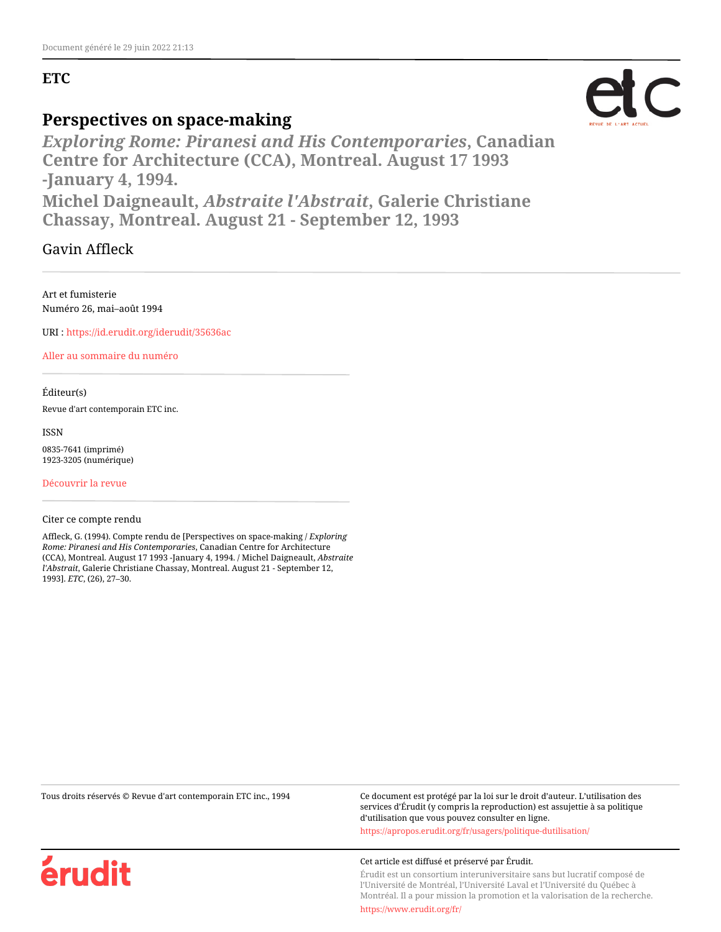## **ETC**

## **Perspectives on space-making**

*Exploring Rome: Piranesi and His Contemporaries***, Canadian Centre for Architecture (CCA), Montreal. August 17 1993 -January 4, 1994.**

**Michel Daigneault,** *Abstraite l'Abstrait***, Galerie Christiane Chassay, Montreal. August 21 - September 12, 1993**

Gavin Affleck

Art et fumisterie Numéro 26, mai–août 1994

URI :<https://id.erudit.org/iderudit/35636ac>

[Aller au sommaire du numéro](https://www.erudit.org/fr/revues/etc/1994-n26-etc1089835/)

Éditeur(s)

Revue d'art contemporain ETC inc.

ISSN

0835-7641 (imprimé) 1923-3205 (numérique)

[Découvrir la revue](https://www.erudit.org/fr/revues/etc/)

### Citer ce compte rendu

Affleck, G. (1994). Compte rendu de [Perspectives on space-making / *Exploring Rome: Piranesi and His Contemporaries*, Canadian Centre for Architecture (CCA), Montreal. August 17 1993 -January 4, 1994. / Michel Daigneault, *Abstraite l'Abstrait*, Galerie Christiane Chassay, Montreal. August 21 - September 12, 1993]. *ETC*, (26), 27–30.

Tous droits réservés © Revue d'art contemporain ETC inc., 1994 Ce document est protégé par la loi sur le droit d'auteur. L'utilisation des services d'Érudit (y compris la reproduction) est assujettie à sa politique d'utilisation que vous pouvez consulter en ligne.

<https://apropos.erudit.org/fr/usagers/politique-dutilisation/>

#### Cet article est diffusé et préservé par Érudit.

Érudit est un consortium interuniversitaire sans but lucratif composé de l'Université de Montréal, l'Université Laval et l'Université du Québec à Montréal. Il a pour mission la promotion et la valorisation de la recherche.

<https://www.erudit.org/fr/>



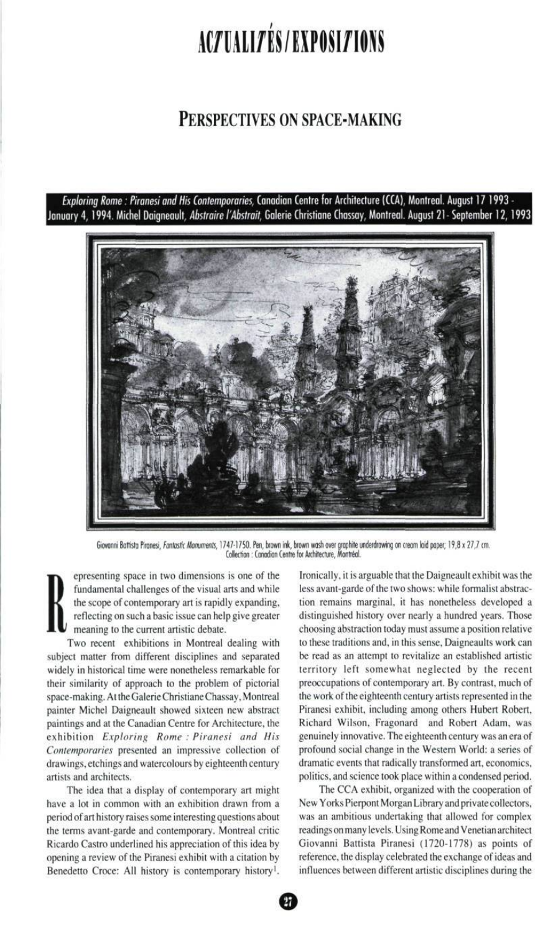# ACZUALIZÉS/EXPOSIZIONS

# PERSPECTIVES ON SPACE-MAKING

Exploring Rome : Piranesi and His Contemporaries, Canadian Centre for Architecture (CCA), Montreal. August 17 1993 - January 4, 1994. Michel Daigneault, *Abstraire l'Abstrait,* Galerie Christiane Chassay, Montreal. August 21-September 12, 1993



Giovanni Battisto Piranesi, fantastic Monuments, 1747-1750. Pen, brown ink, brown wash over graphite underdrawing on cream laid paper; 19,8 x 27,7 cm. Collection : Canodion Centre for Architecture, Montréal.

epresenting space in two dimensions is one of the fundamental challenges of the visual arts and while the scope of contemporary art is rapidly expanding, reflecting on such a basic issue can help give greater meaning to the current artistic debate.

Two recent exhibitions in Montreal dealing with subject matter from different disciplines and separated widely in historical time were nonetheless remarkable for their similarity of approach to the problem of pictorial space-making. At the Galerie Christiane Chassay, Montreal painter Michel Daigneault showed sixteen new abstract paintings and at the Canadian Centre for Architecture, the exhibition Exploring Rome : Piranesi and His Contemporaries presented an impressive collection of drawings, etchings and watercolours by eighteenth century artists and architects.

The idea that a display of contemporary art might have a lot in common with an exhibition drawn from a period of art history raises some interesting questions about the terms avant-garde and contemporary. Montreal critic Ricardo Castro underlined his appreciation of this idea by opening a review of the Piranesi exhibit with a citation by Benedetto Croce: All history is contemporary history<sup>1</sup>.

Ironically, it is arguable that the Daigneault exhibit was the less avant-garde of the two shows: while formalist abstraction remains marginal, it has nonetheless developed a distinguished history over nearly a hundred years. Those choosing abstraction today must assume a position relative to these traditions and, in this sense, Daigneaults work can be read as an attempt to revitalize an established artistic territory left somewhat neglected by the recent preoccupations of contemporary art. By contrast, much of the work of the eighteenth century artists represented in the Piranesi exhibit, including among others Hubert Robert, Richard Wilson, Fragonard and Robert Adam, was genuinely innovative. The eighteenth century was an era of profound social change in the Western World: a series of dramatic events that radically transformed art, economics, politics, and science took place within a condensed period.

The CCA exhibit, organized with the cooperation of New Yorks Pierpont Morgan Library and private collectors, was an ambitious undertaking that allowed for complex readings on many levels. Using Rome and Venetian architect Giovanni Battista Piranesi (1720-1778) as points of reference, the display celebrated the exchange of ideas and influences between different artistic disciplines during the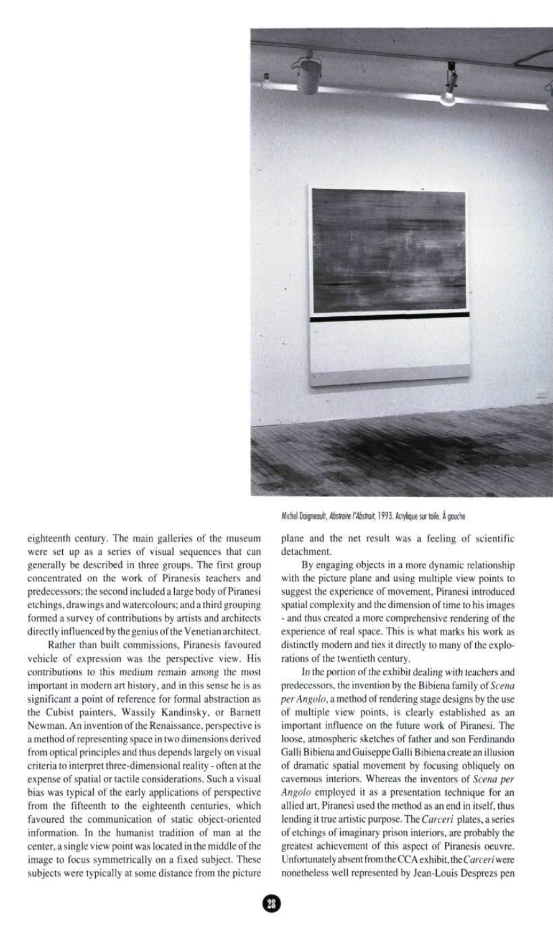

eighteenth century. The main galleries of the museum were set up as a series of visual sequences that can generally be described in three groups. The first group concentrated on the work of Piranesis teachers and predecessors; the second included a large body of Piranesi etchings, drawings and watercolours; and a third grouping formed a survey of contributions by artists and architects directly influenced by the genius of the Venetian architect.

Rather than built commissions, Piranesis favoured vehicle of expression was the perspective view. His contributions to this medium remain among the most important in modern art history, and in this sense he is as significant a point of reference for formal abstraction as the Cubist painters, Wassily Kandinsky, or Barnett Newman. An invention of the Renaissance, perspective is a method of representing space in two dimensions derived from optical principles and thus depends largely on visual criteria to interpret three-dimensional reality - often at the expense of spatial or tactile considerations. Such a visual bias was typical of the early applications of perspective from the fifteenth to the eighteenth centuries, which favoured the communication of static object-oriented information. In the humanist tradition of man at the center, a single view point was located in the middle of the image to focus symmetrically on a fixed subject. These subjects were typically at some distance from the picture Michel Daigneault, Abstraire l'Abstrait, 1993. Acrylique sur toile. À gauche

plane and the net result was a feeling of scientific detachment.

By engaging objects in a more dynamic relationship with the picture plane and using multiple view points to suggest the experience of movement, Piranesi introduced spatial complexity and the dimension of time to his images - and thus created a more comprehensive rendering of the experience of real space. This is what marks his work as distinctly modern and ties it directly to many of the explorations of the twentieth century.

In the portion of the exhibit dealing with teachers and predecessors, the invention by the Bibiena family of Scena perAngolo, a method of rendering stage designs by the use of multiple view points, is clearly established as an important influence on the future work of Piranesi. The loose, atmospheric sketches of father and son Ferdinando Galli Bibiena and Guiseppe Galli Bibiena create an illusion of dramatic spatial movement by focusing obliquely on cavernous interiors. Whereas the inventors of Scena per Angolo employed it as a presentation technique for an allied art, Piranesi used the method as an end in itself, thus lending it true artistic purpose. The Carceri plates, a series of etchings of imaginary prison interiors, are probably the greatest achievement of this aspect of Piranesis oeuvre. Unfortunately absent from the CCA exhibit, the Carceri were nonetheless well represented by Jean-Louis Desprezs pen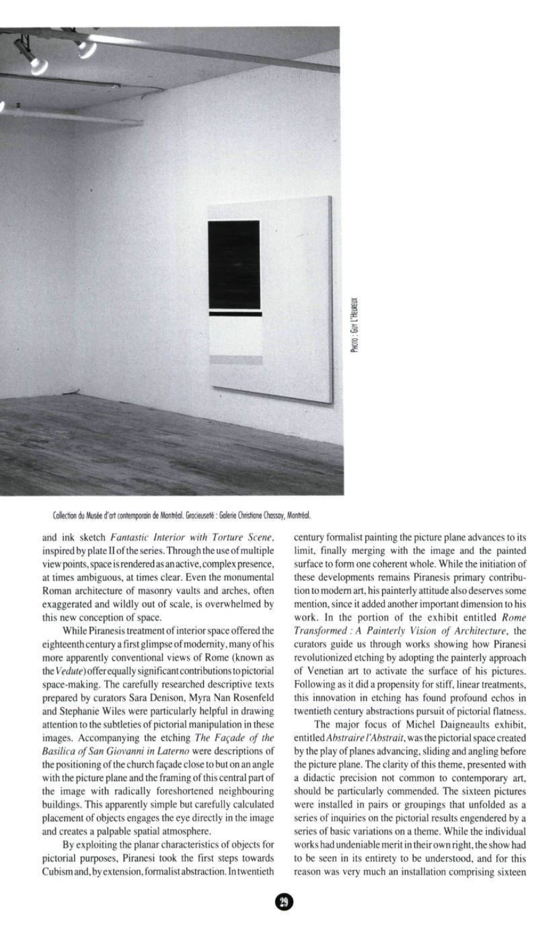

Collection du Musée d'art contemporain de Montréal. Gracieuseté : Galerie Christiane Chossoy, Montréal.

and ink sketch Fantastic Interior with Torture Scene, inspired by plate II of the series. Through the use of multiple view points, space is rendered as an active, complex presence, at times ambiguous, at times clear. Even the monumental Roman architecture of masonry vaults and arches, often exaggerated and wildly out of scale, is overwhelmed by this new conception of space.

While Piranesis treatment of interior space offered the eighteenth century a first glimpse of modernity, many of his more apparently conventional views of Rome (known as the Vedute) offer equally significant contributions to pictorial space-making. The carefully researched descriptive texts prepared by curators Sara Denison, Myra Nan Rosenfeld and Stephanie Wiles were particularly helpful in drawing attention to the subtleties of pictorial manipulation in these images. Accompanying the etching The Façade of the Basilica of San Giovanni in Laterno were descriptions of the positioning of the church façade close to but on an angle with the picture plane and the framing of this central part of the image with radically foreshortened neighbouring buildings. This apparently simple but carefully calculated placement of objects engages the eye directly in the image and creates a palpable spatial atmosphere.

By exploiting the planar characteristics of objects for pictorial purposes, Piranesi took the first steps towards Cubism and, by extension, formalist abstraction. In twentieth century formalist painting the picture plane advances to its limit, finally merging with the image and the painted surface to form one coherent whole. While the initiation of these developments remains Piranesis primary contribution to modem art, his painterly attitude also deserves some mention, since it added another important dimension to his work. In the portion of the exhibit entitled Rome Transformed : A Painterly Vision of Architecture, the curators guide us through works showing how Piranesi revolutionized etching by adopting the painterly approach of Venetian art to activate the surface of his pictures. Following as it did a propensity for stiff, linear treatments, this innovation in etching has found profound echos in twentieth century abstractions pursuit of pictorial flatness.

The major focus of Michel Daigneaults exhibit, entitled Abstraire l'Abstrait, was the pictorial space created by the play of planes advancing, sliding and angling before the picture plane. The clarity of this theme, presented with a didactic precision not common to contemporary art, should be particularly commended. The sixteen pictures were installed in pairs or groupings that unfolded as a series of inquiries on the pictorial results engendered by a series of basic variations on a theme. While the individual works had undeniable merit in their own right, the show had to be seen in its entirety to be understood, and for this reason was very much an installation comprising sixteen